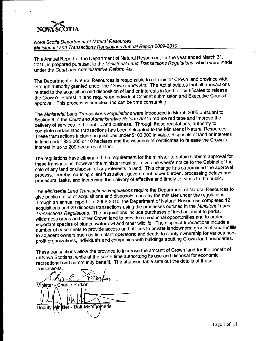

Nova Scotia Department of Natural Resources Ministerial Land Transactions Regulations Annual Report 2009-2010

This Annual Report of the Department of Natural Resources, for the year ended March 31, 2010, is prepared pursuant to the Ministerial Land Transactions Regulations, which were made under the Court and Administrative Reform Act.

The Department of Natural Resources is responsible to administer Crown land province wide through authority granted under the Crown Lands Act. The Act stipulates that all transactions related to the acquisition and disposition of land or interests in land, or certificates to release the Crown's interest in land require an individual Cabinet submission and Executive Council approval. This process is complex and can be time consuming.

The Ministerial Land Transactions Regulations were introduced in March 2005 pursuant to Section 6 of the Court and Administrative Reform Act to reduce red tape and improve the delivery of services to the public and business. Through these regulations, authority to complete certain land transactions has been delegated to the Minister of Natural Resources. These transactions include acquisitions under \$100,000 in value, disposals of land or interests in land under \$25,000 or 10 hectares and the issuance of certificates to release the Crown's interest in up to 200 hectares of land.

The regulations have eliminated the requirement for the minister to obtain Cabinet approval for these transactions, however the minister must still give one week's notice to the Cabinet of the sale of any land or disposal of any interests in land. This change has streamlined the approval process, thereby reducing client frustration, government paper burden, processing delays and procedural tasks, and increasing the delivery of effective and timely services to the public.

The Ministerial Land Transactions Regulations require the Department of Natural Resources to give public notice of acquisitions and disposals made by the minister under the regulations through an annual report. In 2009-2010, the Department of Natural Resources completed 12 acquisitions and 29 disposal transactions using the processes outlined in the Ministerial Land Transactions Regulations. The acquisitions include purchases of land adjacent to parks, wilderness areas and other Crown land to provide recreational opportunities and to protect important species of plants, waterfowl and other wildlife. The disposal transactions include a number of easements to provide access and utilities to private landowners; grants of small infills to adjacent owners such as fish plant operators; and deeds to clarify ownership for various nonprofit organizations, individuals and companies with buildings abutting Crown land boundaries.

These transactions allow the province to increase the amount of Crown land for the benefit of all Nova Scotians, while at the same time authorizing its use and disposal for economic, recreational and community benefit. The attached table sets out the details of these transactions.

Proke Minister - Charlie Parker Montgomerie ter.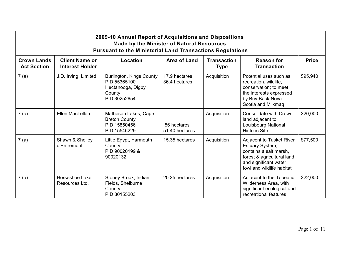|                                          | 2009-10 Annual Report of Acquisitions and Dispositions<br><b>Made by the Minister of Natural Resources</b><br><b>Pursuant to the Ministerial Land Transactions Regulations</b> |                                                                                         |                                |                                   |                                                                                                                                                                  |              |  |  |  |
|------------------------------------------|--------------------------------------------------------------------------------------------------------------------------------------------------------------------------------|-----------------------------------------------------------------------------------------|--------------------------------|-----------------------------------|------------------------------------------------------------------------------------------------------------------------------------------------------------------|--------------|--|--|--|
| <b>Crown Lands</b><br><b>Act Section</b> | <b>Client Name or</b><br><b>Interest Holder</b>                                                                                                                                | Location                                                                                | Area of Land                   | <b>Transaction</b><br><b>Type</b> | <b>Reason for</b><br><b>Transaction</b>                                                                                                                          | <b>Price</b> |  |  |  |
| 7(a)                                     | J.D. Irving, Limited                                                                                                                                                           | Burlington, Kings County<br>PID 55365100<br>Hectanooga, Digby<br>County<br>PID 30252654 | 17.9 hectares<br>36.4 hectares | Acquisition                       | Potential uses such as<br>recreation, wildlife,<br>conservation; to meet<br>the interests expressed<br>by Buy-Back Nova<br>Scotia and Mi'kmaq                    | \$95,940     |  |  |  |
| 7(a)                                     | Ellen MacLellan                                                                                                                                                                | Matheson Lakes, Cape<br><b>Breton County</b><br>PID 15850456<br>PID 15546229            | .56 hectares<br>51.40 hectares | Acquisition                       | Consolidate with Crown<br>land adjacent to<br>Louisbourg National<br><b>Historic Site</b>                                                                        | \$20,000     |  |  |  |
| 7(a)                                     | Shawn & Shelley<br>d'Entremont                                                                                                                                                 | Little Egypt, Yarmouth<br>County<br>PID 90020199 &<br>90020132                          | 15.35 hectares                 | Acquisition                       | <b>Adjacent to Tusket River</b><br>Estuary System;<br>contains a salt marsh.<br>forest & agricultural land<br>and significant water<br>fowl and wildlife habitat | \$77,500     |  |  |  |
| 7(a)                                     | Horseshoe Lake<br>Resources Ltd.                                                                                                                                               | Stoney Brook, Indian<br>Fields, Shelburne<br>County<br>PID 80155203                     | 20.25 hectares                 | Acquisition                       | Adjacent to the Tobeatic<br>Wilderness Area, with<br>significant ecological and<br>recreational features                                                         | \$22,000     |  |  |  |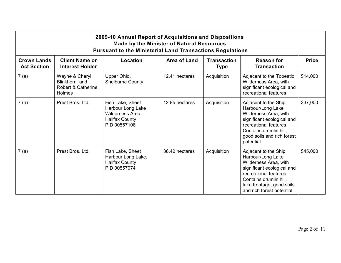|                                          | 2009-10 Annual Report of Acquisitions and Dispositions<br><b>Made by the Minister of Natural Resources</b><br><b>Pursuant to the Ministerial Land Transactions Regulations</b> |                                                                                                    |                     |                                   |                                                                                                                                                                                                                |              |  |  |  |
|------------------------------------------|--------------------------------------------------------------------------------------------------------------------------------------------------------------------------------|----------------------------------------------------------------------------------------------------|---------------------|-----------------------------------|----------------------------------------------------------------------------------------------------------------------------------------------------------------------------------------------------------------|--------------|--|--|--|
| <b>Crown Lands</b><br><b>Act Section</b> | <b>Client Name or</b><br><b>Interest Holder</b>                                                                                                                                | Location                                                                                           | <b>Area of Land</b> | <b>Transaction</b><br><b>Type</b> | <b>Reason for</b><br><b>Transaction</b>                                                                                                                                                                        | <b>Price</b> |  |  |  |
| 7(a)                                     | Wayne & Cheryl<br>Blinkhorn and<br>Robert & Catherine<br>Holmes                                                                                                                | Upper Ohio,<br><b>Shelburne County</b>                                                             | 12.41 hectares      | Acquisition                       | Adjacent to the Tobeatic<br>Wilderness Area, with<br>significant ecological and<br>recreational features                                                                                                       | \$14,000     |  |  |  |
| 7(a)                                     | Prest Bros, Ltd.                                                                                                                                                               | Fish Lake, Sheet<br>Harbour Long Lake<br>Wilderness Area,<br><b>Halifax County</b><br>PID 00557108 | 12.95 hectares      | Acquisition                       | Adjacent to the Ship<br>Harbour/Long Lake<br>Wilderness Area, with<br>significant ecological and<br>recreational features.<br>Contains drumlin hill,<br>good soils and rich forest<br>potential                | \$37,000     |  |  |  |
| 7(a)                                     | Prest Bros, Ltd.                                                                                                                                                               | Fish Lake, Sheet<br>Harbour Long Lake,<br><b>Halifax County</b><br>PID 00557074                    | 36.42 hectares      | Acquisition                       | Adjacent to the Ship<br>Harbour/Long Lake<br>Wilderness Area, with<br>significant ecological and<br>recreational features.<br>Contains drumlin hill,<br>lake frontage, good soils<br>and rich forest potential | \$45,000     |  |  |  |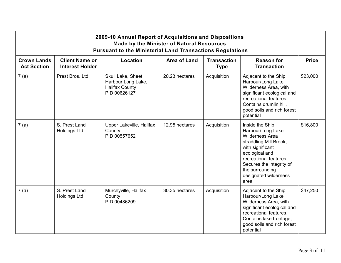|                                          |                                                 | 2009-10 Annual Report of Acquisitions and Dispositions<br><b>Made by the Minister of Natural Resources</b><br><b>Pursuant to the Ministerial Land Transactions Regulations</b> |                |                                   |                                                                                                                                                                                                                                          |              |
|------------------------------------------|-------------------------------------------------|--------------------------------------------------------------------------------------------------------------------------------------------------------------------------------|----------------|-----------------------------------|------------------------------------------------------------------------------------------------------------------------------------------------------------------------------------------------------------------------------------------|--------------|
| <b>Crown Lands</b><br><b>Act Section</b> | <b>Client Name or</b><br><b>Interest Holder</b> | Location                                                                                                                                                                       | Area of Land   | <b>Transaction</b><br><b>Type</b> | <b>Reason for</b><br><b>Transaction</b>                                                                                                                                                                                                  | <b>Price</b> |
| 7(a)                                     | Prest Bros. Ltd.                                | Skull Lake, Sheet<br>Harbour Long Lake,<br><b>Halifax County</b><br>PID 00626127                                                                                               | 20.23 hectares | Acquisition                       | Adjacent to the Ship<br>Harbour/Long Lake<br>Wilderness Area, with<br>significant ecological and<br>recreational features.<br>Contains drumlin hill,<br>good soils and rich forest<br>potential                                          | \$23,000     |
| 7(a)                                     | S. Prest Land<br>Holdings Ltd.                  | Upper Lakeville, Halifax<br>County<br>PID 00557652                                                                                                                             | 12.95 hectares | Acquisition                       | Inside the Ship<br>Harbour/Long Lake<br><b>Wilderness Area</b><br>straddling Mill Brook,<br>with significant<br>ecological and<br>recreational features.<br>Secures the integrity of<br>the surrounding<br>designated wilderness<br>area | \$16,800     |
| 7(a)                                     | S. Prest Land<br>Holdings Ltd.                  | Murchyville, Halifax<br>County<br>PID 00486209                                                                                                                                 | 30.35 hectares | Acquisition                       | Adjacent to the Ship<br>Harbour/Long Lake<br>Wilderness Area, with<br>significant ecological and<br>recreational features.<br>Contains lake frontage,<br>good soils and rich forest<br>potential                                         | \$47,250     |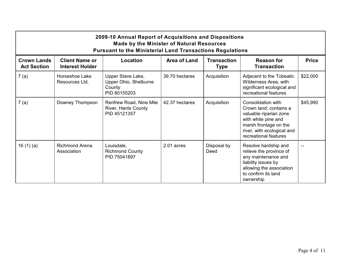|                                          | 2009-10 Annual Report of Acquisitions and Dispositions<br><b>Made by the Minister of Natural Resources</b><br><b>Pursuant to the Ministerial Land Transactions Regulations</b> |                                                                      |                     |                                   |                                                                                                                                                                               |              |  |  |  |
|------------------------------------------|--------------------------------------------------------------------------------------------------------------------------------------------------------------------------------|----------------------------------------------------------------------|---------------------|-----------------------------------|-------------------------------------------------------------------------------------------------------------------------------------------------------------------------------|--------------|--|--|--|
| <b>Crown Lands</b><br><b>Act Section</b> | <b>Client Name or</b><br><b>Interest Holder</b>                                                                                                                                | Location                                                             | <b>Area of Land</b> | <b>Transaction</b><br><b>Type</b> | <b>Reason for</b><br><b>Transaction</b>                                                                                                                                       | <b>Price</b> |  |  |  |
| 7(a)                                     | Horseshoe Lake<br>Resources Ltd.                                                                                                                                               | Upper Stave Lake,<br>Upper Ohio, Shelburne<br>County<br>PID 80155203 | 39.70 hectares      | Acquisition                       | Adjacent to the Tobeatic<br>Wilderness Area, with<br>significant ecological and<br>recreational features                                                                      | \$22,000     |  |  |  |
| 7(a)                                     | Downey Thompson                                                                                                                                                                | Renfrew Road, Nine Mile<br>River, Hants County<br>PID 45121357       | 42.37 hectares      | Acquisition                       | Consolidation with<br>Crown land; contains a<br>valuable riparian zone<br>with white pine and<br>marsh frontage on the<br>river, with ecological and<br>recreational features | \$45,990     |  |  |  |
| 16 $(1)(a)$                              | Richmond Arena<br>Association                                                                                                                                                  | Louisdale,<br><b>Richmond County</b><br>PID 75041897                 | 2.01 acres          | Disposal by<br>Deed               | Resolve hardship and<br>relieve the province of<br>any maintenance and<br>liability issues by<br>allowing the association<br>to confirm its land<br>ownership                 |              |  |  |  |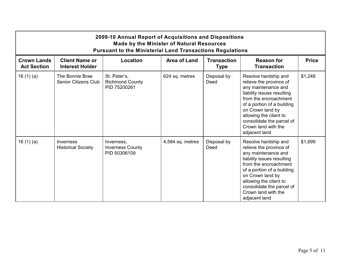|                                          | 2009-10 Annual Report of Acquisitions and Dispositions<br><b>Made by the Minister of Natural Resources</b><br><b>Pursuant to the Ministerial Land Transactions Regulations</b> |                                                        |                     |                                   |                                                                                                                                                                                                                                                                                |              |  |  |
|------------------------------------------|--------------------------------------------------------------------------------------------------------------------------------------------------------------------------------|--------------------------------------------------------|---------------------|-----------------------------------|--------------------------------------------------------------------------------------------------------------------------------------------------------------------------------------------------------------------------------------------------------------------------------|--------------|--|--|
| <b>Crown Lands</b><br><b>Act Section</b> | <b>Client Name or</b><br><b>Interest Holder</b>                                                                                                                                | Location                                               | <b>Area of Land</b> | <b>Transaction</b><br><b>Type</b> | <b>Reason for</b><br><b>Transaction</b>                                                                                                                                                                                                                                        | <b>Price</b> |  |  |
| 16 $(1)(a)$                              | The Bonnie Brae<br>Senior Citizens Club                                                                                                                                        | St. Peter's,<br><b>Richmond County</b><br>PID 75200261 | 624 sq. metres      | Disposal by<br>Deed               | Resolve hardship and<br>relieve the province of<br>any maintenance and<br>liability issues resulting<br>from the encroachment<br>of a portion of a building<br>on Crown land by<br>allowing the client to<br>consolidate the parcel of<br>Crown land with the<br>adjacent land | \$1,248      |  |  |
| 16(1)(a)                                 | Inverness<br><b>Historical Society</b>                                                                                                                                         | Inverness,<br><b>Inverness County</b><br>PID 50306109  | 4,584 sq. metres    | Disposal by<br>Deed               | Resolve hardship and<br>relieve the province of<br>any maintenance and<br>liability issues resulting<br>from the encroachment<br>of a portion of a building<br>on Crown land by<br>allowing the client to<br>consolidate the parcel of<br>Crown land with the<br>adjacent land | \$1,699      |  |  |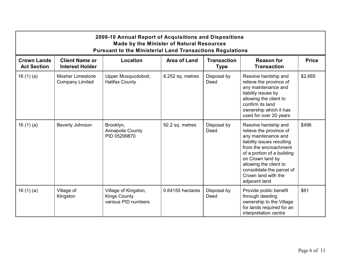|                                          | 2009-10 Annual Report of Acquisitions and Dispositions<br><b>Made by the Minister of Natural Resources</b><br><b>Pursuant to the Ministerial Land Transactions Regulations</b> |                                                                    |                     |                                   |                                                                                                                                                                                                                                                                                |              |  |  |
|------------------------------------------|--------------------------------------------------------------------------------------------------------------------------------------------------------------------------------|--------------------------------------------------------------------|---------------------|-----------------------------------|--------------------------------------------------------------------------------------------------------------------------------------------------------------------------------------------------------------------------------------------------------------------------------|--------------|--|--|
| <b>Crown Lands</b><br><b>Act Section</b> | <b>Client Name or</b><br><b>Interest Holder</b>                                                                                                                                | Location                                                           | <b>Area of Land</b> | <b>Transaction</b><br><b>Type</b> | <b>Reason for</b><br><b>Transaction</b>                                                                                                                                                                                                                                        | <b>Price</b> |  |  |
| 16 $(1)(a)$                              | <b>Mosher Limestone</b><br><b>Company Limited</b>                                                                                                                              | Upper Musquodoboit,<br><b>Halifax County</b>                       | 8,252 sq. metres    | Disposal by<br>Deed               | Resolve hardship and<br>relieve the province of<br>any maintenance and<br>liability issues by<br>allowing the client to<br>confirm its land<br>ownership which it has<br>used for over 20 years                                                                                | \$2,665      |  |  |
| 16(1)(a)                                 | Beverly Johnson                                                                                                                                                                | Brooklyn,<br><b>Annapolis County</b><br>PID 05299870               | 92.2 sq. metres     | Disposal by<br>Deed               | Resolve hardship and<br>relieve the province of<br>any maintenance and<br>liability issues resulting<br>from the encroachment<br>of a portion of a building<br>on Crown land by<br>allowing the client to<br>consolidate the parcel of<br>Crown land with the<br>adjacent land | \$496        |  |  |
| 16(1)(a)                                 | Village of<br>Kingston                                                                                                                                                         | Village of Kingston,<br><b>Kings County</b><br>various PID numbers | 0.64155 hectares    | Disposal by<br>Deed               | Provide public benefit<br>through deeding<br>ownership to the Village<br>for lands required for an<br>interpretation centre                                                                                                                                                    | \$61         |  |  |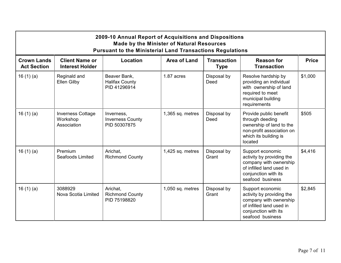|                                          | 2009-10 Annual Report of Acquisitions and Dispositions<br><b>Made by the Minister of Natural Resources</b><br><b>Pursuant to the Ministerial Land Transactions Regulations</b> |                                                       |                  |                                   |                                                                                                                                                 |              |  |  |  |
|------------------------------------------|--------------------------------------------------------------------------------------------------------------------------------------------------------------------------------|-------------------------------------------------------|------------------|-----------------------------------|-------------------------------------------------------------------------------------------------------------------------------------------------|--------------|--|--|--|
| <b>Crown Lands</b><br><b>Act Section</b> | <b>Client Name or</b><br><b>Interest Holder</b>                                                                                                                                | Location                                              | Area of Land     | <b>Transaction</b><br><b>Type</b> | <b>Reason for</b><br><b>Transaction</b>                                                                                                         | <b>Price</b> |  |  |  |
| 16(1)(a)                                 | Reginald and<br><b>Ellen Gilby</b>                                                                                                                                             | Beaver Bank,<br><b>Halifax County</b><br>PID 41296914 | 1.87 acres       | Disposal by<br>Deed               | Resolve hardship by<br>providing an individual<br>with ownership of land<br>required to meet<br>municipal building<br>requirements              | \$1,000      |  |  |  |
| 16 $(1)(a)$                              | <b>Inverness Cottage</b><br>Workshop<br>Association                                                                                                                            | Inverness,<br><b>Inverness County</b><br>PID 50307875 | 1,365 sq. metres | Disposal by<br>Deed               | Provide public benefit<br>through deeding<br>ownership of land to the<br>non-profit association on<br>which its building is<br>located          | \$505        |  |  |  |
| 16(1)(a)                                 | Premium<br>Seafoods Limited                                                                                                                                                    | Arichat.<br><b>Richmond County</b>                    | 1,425 sq. metres | Disposal by<br>Grant              | Support economic<br>activity by providing the<br>company with ownership<br>of infilled land used in<br>conjunction with its<br>seafood business | \$4,416      |  |  |  |
| 16(1)(a)                                 | 3088929<br>Nova Scotia Limited                                                                                                                                                 | Arichat,<br><b>Richmond County</b><br>PID 75198820    | 1,050 sq. metres | Disposal by<br>Grant              | Support economic<br>activity by providing the<br>company with ownership<br>of infilled land used in<br>conjunction with its<br>seafood business | \$2,845      |  |  |  |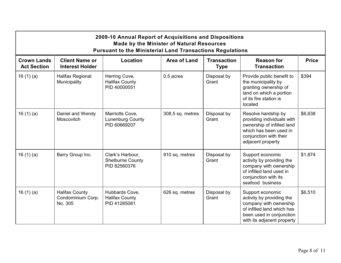|                                          | 2009-10 Annual Report of Acquisitions and Dispositions<br><b>Made by the Minister of Natural Resources</b><br><b>Pursuant to the Ministerial Land Transactions Regulations</b> |                                                             |                     |                                   |                                                                                                                                                                 |              |  |  |  |
|------------------------------------------|--------------------------------------------------------------------------------------------------------------------------------------------------------------------------------|-------------------------------------------------------------|---------------------|-----------------------------------|-----------------------------------------------------------------------------------------------------------------------------------------------------------------|--------------|--|--|--|
| <b>Crown Lands</b><br><b>Act Section</b> | <b>Client Name or</b><br><b>Interest Holder</b>                                                                                                                                | Location                                                    | <b>Area of Land</b> | <b>Transaction</b><br><b>Type</b> | <b>Reason for</b><br><b>Transaction</b>                                                                                                                         | <b>Price</b> |  |  |  |
| 16(1)(a)                                 | Halifax Regional<br>Municipality                                                                                                                                               | Herring Cove,<br><b>Halifax County</b><br>PID 40000051      | 0.5 acres           | Disposal by<br>Grant              | Provide public benefit to<br>the municipality by<br>granting ownership of<br>land on which a portion<br>of its fire station is<br>located                       | \$394        |  |  |  |
| 16(1)(a)                                 | Daniel and Wendy<br>Moscovitch                                                                                                                                                 | Marriotts Cove,<br><b>Lunenburg County</b><br>PID 60669207  | 308.5 sq. metres    | Disposal by<br>Grant              | Resolve hardship by<br>providing individuals with<br>ownership of infilled land<br>which has been used in<br>conjunction with their<br>adjacent property        | \$6,638      |  |  |  |
| 16 $(1)(a)$                              | Barry Group Inc.                                                                                                                                                               | Clark's Harbour,<br><b>Shelburne County</b><br>PID 82560376 | 910 sq. metres      | Disposal by<br>Grant              | Support economic<br>activity by providing the<br>company with ownership<br>of infilled land used in<br>conjunction with its<br>seafood business                 | \$1,874      |  |  |  |
| 16(1)(a)                                 | <b>Halifax County</b><br>Condominium Corp.<br>No. 305                                                                                                                          | Hubbards Cove,<br><b>Halifax County</b><br>PID 41285081     | 626 sq. metres      | Disposal by<br>Grant              | Support economic<br>activity by providing the<br>company with ownership<br>of infilled land which has<br>been used in conjunction<br>with its adjacent property | \$6,510      |  |  |  |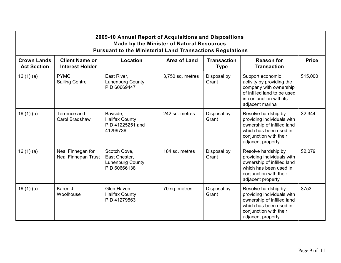|                                          | 2009-10 Annual Report of Acquisitions and Dispositions<br><b>Made by the Minister of Natural Resources</b><br><b>Pursuant to the Ministerial Land Transactions Regulations</b> |                                                                          |                  |                                   |                                                                                                                                                          |              |  |  |  |
|------------------------------------------|--------------------------------------------------------------------------------------------------------------------------------------------------------------------------------|--------------------------------------------------------------------------|------------------|-----------------------------------|----------------------------------------------------------------------------------------------------------------------------------------------------------|--------------|--|--|--|
| <b>Crown Lands</b><br><b>Act Section</b> | <b>Client Name or</b><br><b>Interest Holder</b>                                                                                                                                | Location                                                                 | Area of Land     | <b>Transaction</b><br><b>Type</b> | <b>Reason for</b><br><b>Transaction</b>                                                                                                                  | <b>Price</b> |  |  |  |
| 16 $(1)(a)$                              | <b>PYMC</b><br><b>Sailing Centre</b>                                                                                                                                           | East River,<br><b>Lunenburg County</b><br>PID 60669447                   | 3,750 sq. metres | Disposal by<br>Grant              | Support economic<br>activity by providing the<br>company with ownership<br>of infilled land to be used<br>in conjunction with its<br>adjacent marina     | \$15,000     |  |  |  |
| 16(1)(a)                                 | Terrence and<br>Carol Bradshaw                                                                                                                                                 | Bayside,<br><b>Halifax County</b><br>PID 41225251 and<br>41299736        | 242 sq. metres   | Disposal by<br>Grant              | Resolve hardship by<br>providing individuals with<br>ownership of infilled land<br>which has been used in<br>conjunction with their<br>adjacent property | \$2,344      |  |  |  |
| 16(1)(a)                                 | Neal Finnegan for<br><b>Neal Finnegan Trust</b>                                                                                                                                | Scotch Cove,<br>East Chester,<br><b>Lunenburg County</b><br>PID 60666138 | 184 sq. metres   | Disposal by<br>Grant              | Resolve hardship by<br>providing individuals with<br>ownership of infilled land<br>which has been used in<br>conjunction with their<br>adjacent property | \$2,079      |  |  |  |
| 16(1)(a)                                 | Karen J.<br>Woolhouse                                                                                                                                                          | Glen Haven,<br><b>Halifax County</b><br>PID 41279563                     | 70 sq. metres    | Disposal by<br>Grant              | Resolve hardship by<br>providing individuals with<br>ownership of infilled land<br>which has been used in<br>conjunction with their<br>adjacent property | \$753        |  |  |  |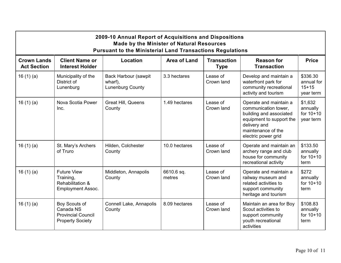|                                          | 2009-10 Annual Report of Acquisitions and Dispositions<br><b>Made by the Minister of Natural Resources</b><br><b>Pursuant to the Ministerial Land Transactions Regulations</b> |                                                     |                      |                                   |                                                                                                                                                                    |                                                |  |  |
|------------------------------------------|--------------------------------------------------------------------------------------------------------------------------------------------------------------------------------|-----------------------------------------------------|----------------------|-----------------------------------|--------------------------------------------------------------------------------------------------------------------------------------------------------------------|------------------------------------------------|--|--|
| <b>Crown Lands</b><br><b>Act Section</b> | <b>Client Name or</b><br><b>Interest Holder</b>                                                                                                                                | Location                                            | <b>Area of Land</b>  | <b>Transaction</b><br><b>Type</b> | <b>Reason for</b><br><b>Transaction</b>                                                                                                                            | <b>Price</b>                                   |  |  |
| 16(1)(a)                                 | Municipality of the<br>District of<br>Lunenburg                                                                                                                                | Back Harbour (sawpit<br>wharf),<br>Lunenburg County | 3.3 hectares         | Lease of<br>Crown land            | Develop and maintain a<br>waterfront park for<br>community recreational<br>activity and tourism                                                                    | \$336.30<br>annual for<br>$15+15$<br>year term |  |  |
| 16(1)(a)                                 | Nova Scotia Power<br>Inc.                                                                                                                                                      | <b>Great Hill, Queens</b><br>County                 | 1.49 hectares        | Lease of<br>Crown land            | Operate and maintain a<br>communication tower,<br>building and associated<br>equipment to support the<br>delivery and<br>maintenance of the<br>electric power grid | \$1,632<br>annually<br>for 10+10<br>year term  |  |  |
| 16(1)(a)                                 | St. Mary's Archers<br>of Truro                                                                                                                                                 | Hilden, Colchester<br>County                        | 10.0 hectares        | Lease of<br>Crown land            | Operate and maintain an<br>archery range and club<br>house for community<br>recreational activity                                                                  | \$133.50<br>annually<br>for 10+10<br>term      |  |  |
| 16(1)(a)                                 | <b>Future View</b><br>Training,<br>Rehabilitation &<br><b>Employment Assoc.</b>                                                                                                | Middleton, Annapolis<br>County                      | 6610.6 sq.<br>metres | Lease of<br>Crown land            | Operate and maintain a<br>railway museum and<br>related activities to<br>support community<br>heritage and tourism                                                 | \$272<br>annually<br>for 10+10<br>term         |  |  |
| 16 $(1)(a)$                              | Boy Scouts of<br>Canada NS<br><b>Provincial Council</b><br><b>Property Society</b>                                                                                             | Connell Lake, Annapolis<br>County                   | 8.09 hectares        | Lease of<br>Crown land            | Maintain an area for Boy<br>Scout activities to<br>support community<br>youth recreational<br>activities                                                           | \$108.83<br>annually<br>for 10+10<br>term      |  |  |